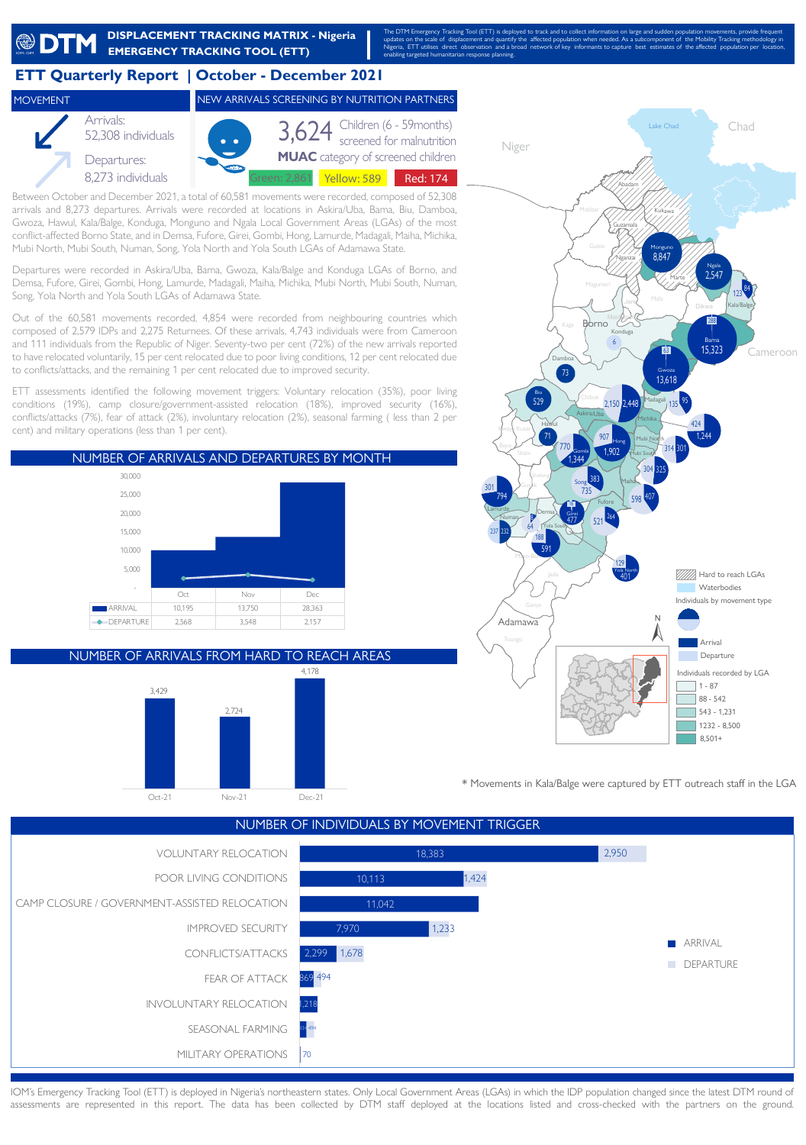

13 Gwoza, Hawul, Kala/Balge, Konduga, Monguno and Ngala Local Government Areas (LGAs) of the most conflict-affected Borno State, and in Demsa, Fufore, Girei, Gombi, Hong, Lamurde, Madagali, Maiha, Michika, Mubi North, Mubi South, Numan, Song, Yola North and Yola South LGAs of Adamawa State.

Departures were recorded in Askira/Uba, Bama, Gwoza, Kala/Balge and Konduga LGAs of Borno, and Demsa, Fufore, Girei, Gombi, Hong, Lamurde, Madagali, Maiha, Michika, Mubi North, Mubi South, Numan, Song, Yola North and Yola South LGAs of Adamawa State.

Out of the 60,581 movements recorded, 4,854 were recorded from neighbouring countries which composed of 2,579 IDPs and 2,275 Returnees. Of these arrivals, 4,743 individuals were from Cameroon and 111 individuals from the Republic of Niger. Seventy-two per cent (72%) of the new arrivals reported to have relocated voluntarily, 15 per cent relocated due to poor living conditions, 12 per cent relocated due to conflicts/attacks, and the remaining 1 per cent relocated due to improved security.

ETT assessments identified the following movement triggers: Voluntary relocation (35%), poor living conditions (19%), camp closure/government-assisted relocation (18%), improved security (16%), conflicts/attacks (7%), fear of attack (2%), involuntary relocation (2%), seasonal farming ( less than 2 per cent) and military operations (less than 1 per cent).



NUMBER OF ARRIVALS FROM HARD TO REACH AREAS





\* Movements in Kala/Balge were captured by ETT outreach staff in the LGA



IOM's Emergency Tracking Tool (ETT) is deployed in Nigeria's northeastern states. Only Local Government Areas (LGAs) in which the IDP population changed since the latest DTM round of assessments are represented in this report. The data has been collected by DTM staff deployed at the locations listed and cross-checked with the partners on the ground.